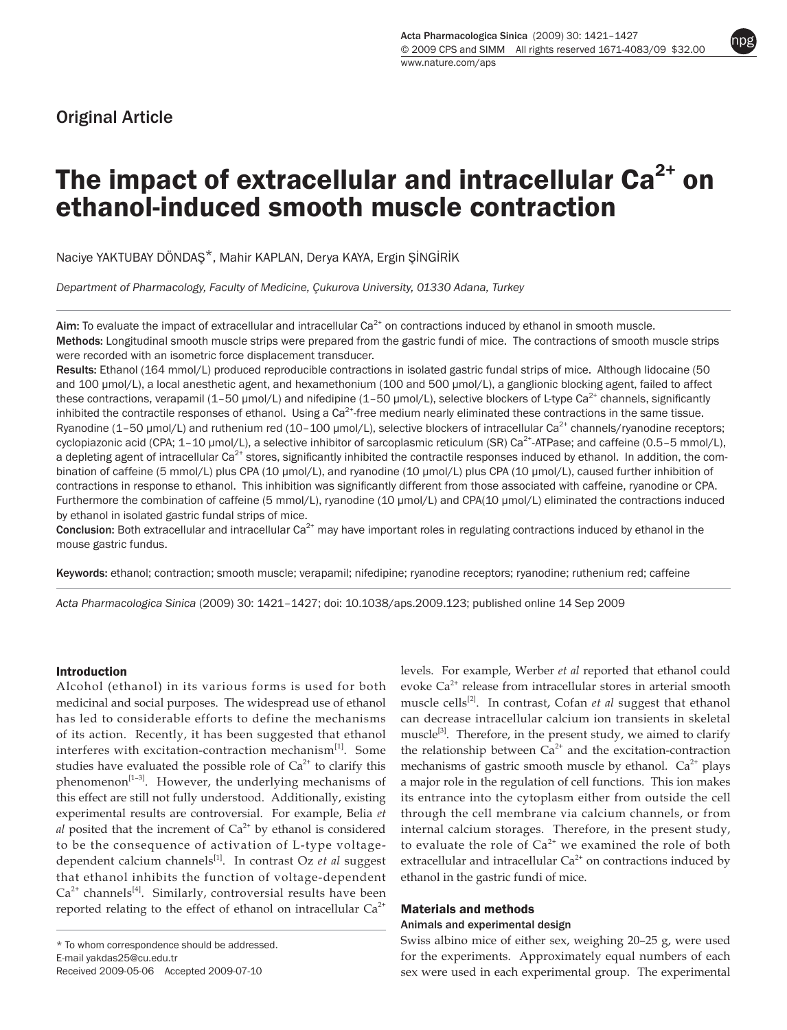# Original Article

npg

# The impact of extracellular and intracellular  $Ca<sup>2+</sup>$  on ethanol-induced smooth muscle contraction

Naciye YAKTUBAY DÖNDAŞ\*, Mahir KAPLAN, Derya KAYA, Ergin ŞİNGİRİK

*Department of Pharmacology, Faculty of Medicine, Çukurova University, 01330 Adana, Turkey*

Aim: To evaluate the impact of extracellular and intracellular  $Ca<sup>2+</sup>$  on contractions induced by ethanol in smooth muscle. Methods: Longitudinal smooth muscle strips were prepared from the gastric fundi of mice. The contractions of smooth muscle strips were recorded with an isometric force displacement transducer.

Results: Ethanol (164 mmol/L) produced reproducible contractions in isolated gastric fundal strips of mice. Although lidocaine (50 and 100 µmol/L), a local anesthetic agent, and hexamethonium (100 and 500 µmol/L), a ganglionic blocking agent, failed to affect these contractions, verapamil  $(1-50 \mu \text{mol/L})$  and nifedipine  $(1-50 \mu \text{mol/L})$ , selective blockers of L-type Ca<sup>2+</sup> channels, significantly inhibited the contractile responses of ethanol. Using a  $Ca<sup>2+</sup>$ -free medium nearly eliminated these contractions in the same tissue. Ryanodine (1-50 µmol/L) and ruthenium red (10-100 µmol/L), selective blockers of intracellular Ca<sup>2+</sup> channels/ryanodine receptors; cyclopiazonic acid (CPA;  $1-10$  µmol/L), a selective inhibitor of sarcoplasmic reticulum (SR) Ca<sup>2+</sup>-ATPase; and caffeine (0.5–5 mmol/L), a depleting agent of intracellular  $Ca<sup>2+</sup>$  stores, significantly inhibited the contractile responses induced by ethanol. In addition, the combination of caffeine (5 mmol/L) plus CPA (10 µmol/L), and ryanodine (10 µmol/L) plus CPA (10 µmol/L), caused further inhibition of contractions in response to ethanol. This inhibition was significantly different from those associated with caffeine, ryanodine or CPA. Furthermore the combination of caffeine (5 mmol/L), ryanodine (10 µmol/L) and CPA(10 µmol/L) eliminated the contractions induced by ethanol in isolated gastric fundal strips of mice.

**Conclusion:** Both extracellular and intracellular  $Ca<sup>2+</sup>$  may have important roles in regulating contractions induced by ethanol in the mouse gastric fundus.

Keywords: ethanol; contraction; smooth muscle; verapamil; nifedipine; ryanodine receptors; ryanodine; ruthenium red; caffeine

*Acta Pharmacologica Sinica* (2009) 30: 1421–1427; doi: 10.1038/aps.2009.123; published online 14 Sep 2009

#### Introduction

Alcohol (ethanol) in its various forms is used for both medicinal and social purposes. The widespread use of ethanol has led to considerable efforts to define the mechanisms of its action. Recently, it has been suggested that ethanol interferes with excitation-contraction mechanism<sup>[1]</sup>. Some studies have evaluated the possible role of  $Ca<sup>2+</sup>$  to clarify this phenomenon $[1-3]$ . However, the underlying mechanisms of this effect are still not fully understood. Additionally, existing experimental results are controversial. For example, Belia *et*   $al$  posited that the increment of  $Ca<sup>2+</sup>$  by ethanol is considered to be the consequence of activation of L-type voltagedependent calcium channels<sup>[1]</sup>. In contrast Oz et al suggest that ethanol inhibits the function of voltage-dependent  $Ca<sup>2+</sup> channels<sup>[4]</sup>. Similarly, controversial results have been$ reported relating to the effect of ethanol on intracellular  $Ca^{2+}$ 

levels. For example, Werber *et al* reported that ethanol could evoke  $Ca^{2+}$  release from intracellular stores in arterial smooth muscle cells<sup>[2]</sup>. In contrast, Cofan *et al* suggest that ethanol can decrease intracellular calcium ion transients in skeletal muscle<sup>[3]</sup>. Therefore, in the present study, we aimed to clarify the relationship between  $Ca^{2+}$  and the excitation-contraction mechanisms of gastric smooth muscle by ethanol.  $Ca^{2+}$  plays a major role in the regulation of cell functions. This ion makes its entrance into the cytoplasm either from outside the cell through the cell membrane via calcium channels, or from internal calcium storages. Therefore, in the present study, to evaluate the role of  $Ca^{2+}$  we examined the role of both extracellular and intracellular  $Ca<sup>2+</sup>$  on contractions induced by ethanol in the gastric fundi of mice.

#### Materials and methods

#### Animals and experimental design

Swiss albino mice of either sex, weighing 20–25 g, were used for the experiments. Approximately equal numbers of each sex were used in each experimental group. The experimental

<sup>\*</sup> To whom correspondence should be addressed. E-mail yakdas25@cu.edu.tr Received 2009-05-06 Accepted 2009-07-10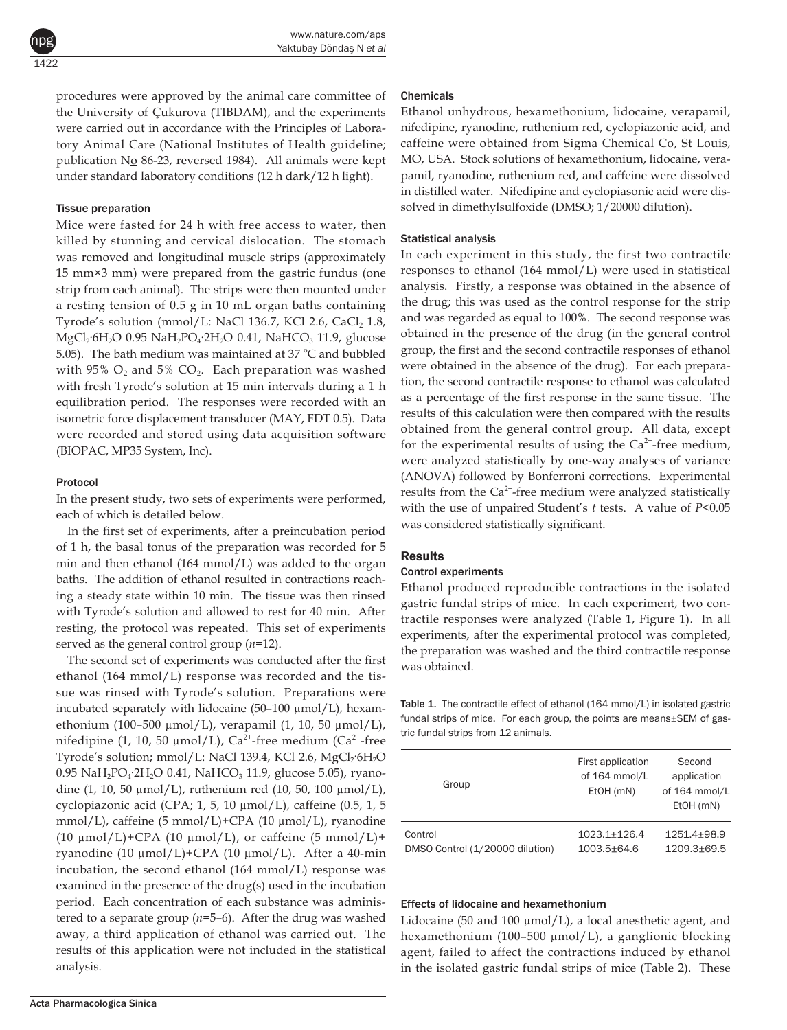procedures were approved by the animal care committee of the University of Çukurova (TIBDAM), and the experiments were carried out in accordance with the Principles of Laboratory Animal Care (National Institutes of Health guideline; publication No 86-23, reversed 1984). All animals were kept under standard laboratory conditions (12 h dark/12 h light).

## Tissue preparation

1422

npg

Mice were fasted for 24 h with free access to water, then killed by stunning and cervical dislocation. The stomach was removed and longitudinal muscle strips (approximately 15 mm×3 mm) were prepared from the gastric fundus (one strip from each animal). The strips were then mounted under a resting tension of 0.5 g in 10 mL organ baths containing Tyrode's solution (mmol/L: NaCl 136.7, KCl 2.6, CaCl $_2$  1.8, MgCl<sub>2</sub>·6H<sub>2</sub>O 0.95 NaH<sub>2</sub>PO<sub>4</sub>·2H<sub>2</sub>O 0.41, NaHCO<sub>3</sub> 11.9, glucose 5.05). The bath medium was maintained at 37  $^{\circ}$ C and bubbled with 95%  $O_2$  and 5%  $CO_2$ . Each preparation was washed with fresh Tyrode's solution at 15 min intervals during a 1 h equilibration period. The responses were recorded with an isometric force displacement transducer (MAY, FDT 0.5). Data were recorded and stored using data acquisition software (BIOPAC, MP35 System, Inc).

#### Protocol

In the present study, two sets of experiments were performed, each of which is detailed below.

In the first set of experiments, after a preincubation period of 1 h, the basal tonus of the preparation was recorded for 5 min and then ethanol (164 mmol/L) was added to the organ baths. The addition of ethanol resulted in contractions reaching a steady state within 10 min. The tissue was then rinsed with Tyrode's solution and allowed to rest for 40 min. After resting, the protocol was repeated. This set of experiments served as the general control group (*n*=12).

The second set of experiments was conducted after the first ethanol (164 mmol/L) response was recorded and the tissue was rinsed with Tyrode's solution. Preparations were incubated separately with lidocaine  $(50-100 \mu \text{mol/L})$ , hexamethonium (100–500 µmol/L), verapamil (1, 10, 50 µmol/L), nifedipine (1, 10, 50  $\mu$ mol/L), Ca<sup>2+</sup>-free medium (Ca<sup>2+</sup>-free Tyrode's solution; mmol/L: NaCl 139.4, KCl 2.6, MgCl<sub>2</sub>·6H<sub>2</sub>O  $0.95 \text{ NaH}_2\text{PO}_4$ :2H<sub>2</sub>O 0.41, NaHCO<sub>3</sub> 11.9, glucose 5.05), ryanodine (1, 10, 50  $\mu$ mol/L), ruthenium red (10, 50, 100  $\mu$ mol/L), cyclopiazonic acid (CPA; 1, 5, 10 µmol/L), caffeine (0.5, 1, 5 mmol/L), caffeine (5 mmol/L)+CPA (10 µmol/L), ryanodine (10  $\mu$ mol/L)+CPA (10  $\mu$ mol/L), or caffeine (5 mmol/L)+ ryanodine (10  $\mu$ mol/L)+CPA (10  $\mu$ mol/L). After a 40-min incubation, the second ethanol (164 mmol/L) response was examined in the presence of the drug(s) used in the incubation period. Each concentration of each substance was administered to a separate group (*n*=5–6). After the drug was washed away, a third application of ethanol was carried out. The results of this application were not included in the statistical analysis.

# Chemicals

Ethanol unhydrous, hexamethonium, lidocaine, verapamil, nifedipine, ryanodine, ruthenium red, cyclopiazonic acid, and caffeine were obtained from Sigma Chemical Co, St Louis, MO, USA. Stock solutions of hexamethonium, lidocaine, verapamil, ryanodine, ruthenium red, and caffeine were dissolved in distilled water. Nifedipine and cyclopiasonic acid were dissolved in dimethylsulfoxide (DMSO; 1/20000 dilution).

## Statistical analysis

In each experiment in this study, the first two contractile responses to ethanol (164 mmol/L) were used in statistical analysis. Firstly, a response was obtained in the absence of the drug; this was used as the control response for the strip and was regarded as equal to 100%. The second response was obtained in the presence of the drug (in the general control group, the first and the second contractile responses of ethanol were obtained in the absence of the drug). For each preparation, the second contractile response to ethanol was calculated as a percentage of the first response in the same tissue. The results of this calculation were then compared with the results obtained from the general control group. All data, except for the experimental results of using the  $Ca<sup>2+</sup>$ -free medium, were analyzed statistically by one-way analyses of variance (ANOVA) followed by Bonferroni corrections. Experimental results from the  $Ca^{2+}$ -free medium were analyzed statistically with the use of unpaired Student's *t* tests. A value of *P<*0.05 was considered statistically significant.

## **Results**

## Control experiments

Ethanol produced reproducible contractions in the isolated gastric fundal strips of mice. In each experiment, two contractile responses were analyzed (Table 1, Figure 1). In all experiments, after the experimental protocol was completed, the preparation was washed and the third contractile response was obtained.

Table 1. The contractile effect of ethanol (164 mmol/L) in isolated gastric fundal strips of mice. For each group, the points are means±SEM of gastric fundal strips from 12 animals.

| Group                           | First application<br>of 164 mmol/L<br>EtOH (mN) | Second<br>application<br>of 164 mmol/L<br>EtOH (mN) |
|---------------------------------|-------------------------------------------------|-----------------------------------------------------|
| Control                         | 1023.1+126.4                                    | 1251.4+98.9                                         |
| DMSO Control (1/20000 dilution) | $1003.5 + 64.6$                                 | $1209.3 + 69.5$                                     |

## Effects of lidocaine and hexamethonium

Lidocaine (50 and 100  $\mu$ mol/L), a local anesthetic agent, and hexamethonium (100–500 µmol/L), a ganglionic blocking agent, failed to affect the contractions induced by ethanol in the isolated gastric fundal strips of mice (Table 2). These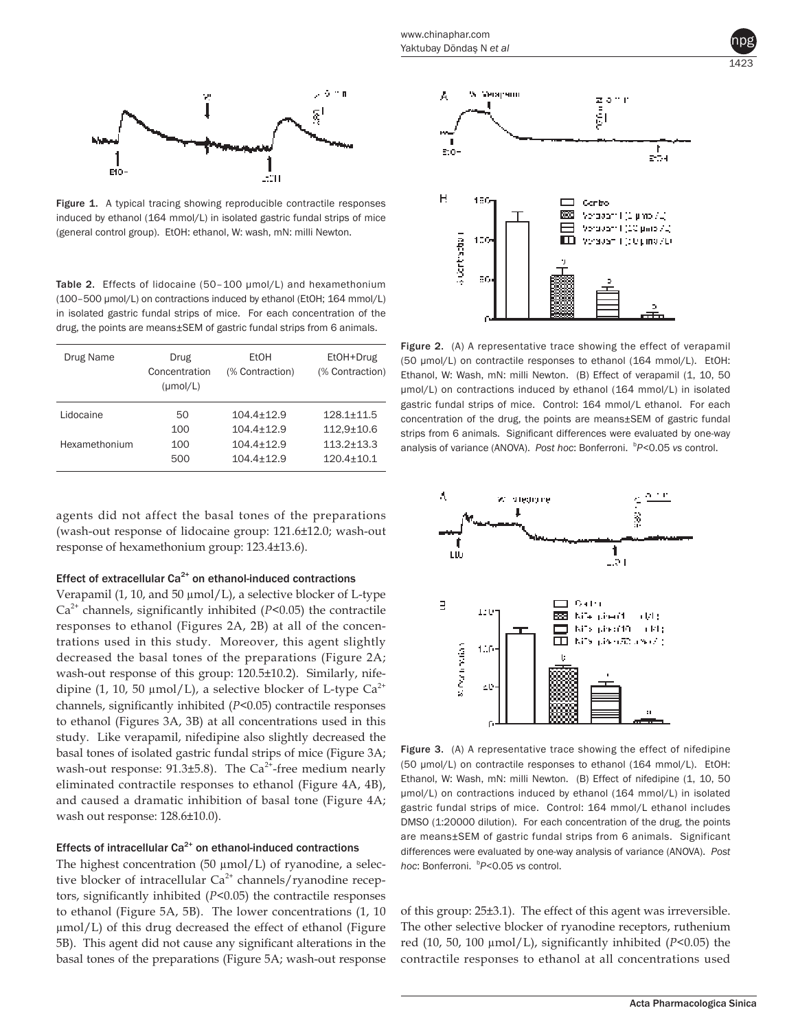Figure 1. A typical tracing showing reproducible contractile responses induced by ethanol (164 mmol/L) in isolated gastric fundal strips of mice (general control group). EtOH: ethanol, W: wash, mN: milli Newton.

Table 2. Effects of lidocaine (50-100 µmol/L) and hexamethonium (100–500 µmol/L) on contractions induced by ethanol (EtOH; 164 mmol/L) in isolated gastric fundal strips of mice. For each concentration of the drug, the points are means±SEM of gastric fundal strips from 6 animals.

| Drug Name     | Drug<br>Concentration<br>$(\mu \text{mol/L})$ | EtOH<br>(% Contraction) | EtOH+Drug<br>(% Contraction) |
|---------------|-----------------------------------------------|-------------------------|------------------------------|
| Lidocaine     | 50                                            | $104.4 + 12.9$          | $128.1 + 11.5$               |
|               | 100                                           | $104.4 + 12.9$          | $112.9 \pm 10.6$             |
| Hexamethonium | 100                                           | $104.4 + 12.9$          | $113.2 + 13.3$               |
|               | 500                                           | $104.4 + 12.9$          | $120.4 \pm 10.1$             |

agents did not affect the basal tones of the preparations (wash-out response of lidocaine group: 121.6±12.0; wash-out response of hexamethonium group: 123.4±13.6).

# Effect of extracellular  $Ca<sup>2+</sup>$  on ethanol-induced contractions

Verapamil (1, 10, and 50 µmol/L), a selective blocker of L-type Ca2+ channels, significantly inhibited (*P<*0.05) the contractile responses to ethanol (Figures 2A, 2B) at all of the concentrations used in this study. Moreover, this agent slightly decreased the basal tones of the preparations (Figure 2A; wash-out response of this group: 120.5±10.2). Similarly, nifedipine (1, 10, 50  $\mu$ mol/L), a selective blocker of L-type Ca<sup>2+</sup> channels, significantly inhibited (*P<*0.05) contractile responses to ethanol (Figures 3A, 3B) at all concentrations used in this study. Like verapamil, nifedipine also slightly decreased the basal tones of isolated gastric fundal strips of mice (Figure 3A; wash-out response:  $91.3\pm5.8$ ). The Ca<sup>2+</sup>-free medium nearly eliminated contractile responses to ethanol (Figure 4A, 4B), and caused a dramatic inhibition of basal tone (Figure 4A; wash out response: 128.6±10.0).

## Effects of intracellular  $Ca<sup>2+</sup>$  on ethanol-induced contractions

The highest concentration  $(50 \text{ µmol/L})$  of ryanodine, a selective blocker of intracellular  $Ca^{2+}$  channels/ryanodine receptors, significantly inhibited (*P*<0.05) the contractile responses to ethanol (Figure 5A, 5B). The lower concentrations (1, 10 µmol/L) of this drug decreased the effect of ethanol (Figure 5B). This agent did not cause any significant alterations in the basal tones of the preparations (Figure 5A; wash-out response



npg

Figure 2. (A) A representative trace showing the effect of verapamil (50 µmol/L) on contractile responses to ethanol (164 mmol/L). EtOH: Ethanol, W: Wash, mN: milli Newton. (B) Effect of verapamil (1, 10, 50 µmol/L) on contractions induced by ethanol (164 mmol/L) in isolated gastric fundal strips of mice. Control: 164 mmol/L ethanol. For each concentration of the drug, the points are means±SEM of gastric fundal strips from 6 animals. Significant differences were evaluated by one-way analysis of variance (ANOVA). Post hoc: Bonferroni. <sup>b</sup>P<0.05 vs control.



Figure 3. (A) A representative trace showing the effect of nifedipine (50 µmol/L) on contractile responses to ethanol (164 mmol/L). EtOH: Ethanol, W: Wash, mN: milli Newton. (B) Effect of nifedipine (1, 10, 50 µmol/L) on contractions induced by ethanol (164 mmol/L) in isolated gastric fundal strips of mice. Control: 164 mmol/L ethanol includes DMSO (1:20000 dilution). For each concentration of the drug, the points are means±SEM of gastric fundal strips from 6 animals. Significant differences were evaluated by one-way analysis of variance (ANOVA). *Post hoc*: Bonferroni. <sup>b</sup> *P<*0.05 *vs* control.

of this group: 25±3.1). The effect of this agent was irreversible. The other selective blocker of ryanodine receptors, ruthenium red (10, 50, 100 µmol/L), significantly inhibited (*P*<0.05) the contractile responses to ethanol at all concentrations used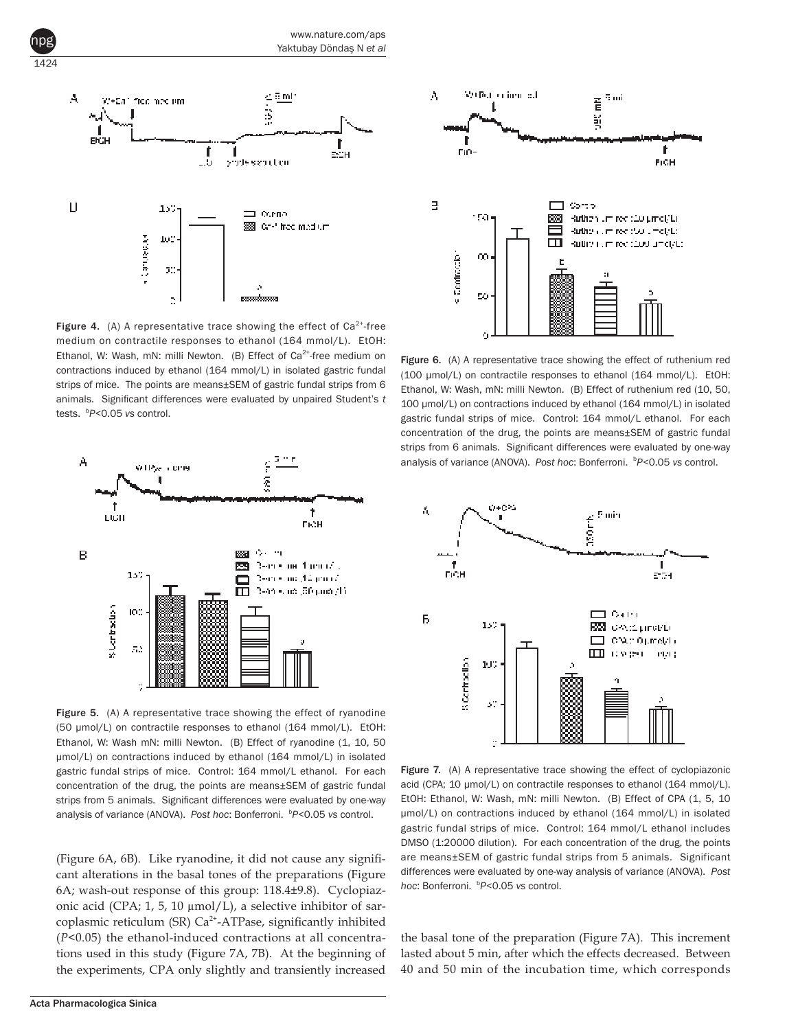



**Figure 4.** (A) A representative trace showing the effect of  $Ca^{2+}$ -free medium on contractile responses to ethanol (164 mmol/L). EtOH: Ethanol, W: Wash, mN: milli Newton. (B) Effect of  $Ca^{2+}$ -free medium on contractions induced by ethanol (164 mmol/L) in isolated gastric fundal strips of mice. The points are means±SEM of gastric fundal strips from 6 animals. Significant differences were evaluated by unpaired Student's *t* tests. <sup>b</sup> *P<*0.05 *vs* control.



Figure 5. (A) A representative trace showing the effect of ryanodine (50 µmol/L) on contractile responses to ethanol (164 mmol/L). EtOH: Ethanol, W: Wash mN: milli Newton. (B) Effect of ryanodine (1, 10, 50 µmol/L) on contractions induced by ethanol (164 mmol/L) in isolated gastric fundal strips of mice. Control: 164 mmol/L ethanol. For each concentration of the drug, the points are means±SEM of gastric fundal strips from 5 animals. Significant differences were evaluated by one-way analysis of variance (ANOVA). Post hoc: Bonferroni. <sup>b</sup>P<0.05 vs control.

(Figure 6A, 6B). Like ryanodine, it did not cause any significant alterations in the basal tones of the preparations (Figure 6A; wash-out response of this group: 118.4±9.8). Cyclopiazonic acid (CPA; 1, 5, 10  $\mu$ mol/L), a selective inhibitor of sarcoplasmic reticulum (SR)  $Ca<sup>2+</sup>-ATPase$ , significantly inhibited (*P<*0.05) the ethanol-induced contractions at all concentrations used in this study (Figure 7A, 7B). At the beginning of the experiments, CPA only slightly and transiently increased



Figure 6. (A) A representative trace showing the effect of ruthenium red (100 µmol/L) on contractile responses to ethanol (164 mmol/L). EtOH: Ethanol, W: Wash, mN: milli Newton. (B) Effect of ruthenium red (10, 50, 100 µmol/L) on contractions induced by ethanol (164 mmol/L) in isolated gastric fundal strips of mice. Control: 164 mmol/L ethanol. For each concentration of the drug, the points are means±SEM of gastric fundal strips from 6 animals. Significant differences were evaluated by one-way analysis of variance (ANOVA). Post hoc: Bonferroni. <sup>b</sup>P<0.05 vs control.



Figure 7. (A) A representative trace showing the effect of cyclopiazonic acid (CPA; 10 µmol/L) on contractile responses to ethanol (164 mmol/L). EtOH: Ethanol, W: Wash, mN: milli Newton. (B) Effect of CPA (1, 5, 10 µmol/L) on contractions induced by ethanol (164 mmol/L) in isolated gastric fundal strips of mice. Control: 164 mmol/L ethanol includes DMSO (1:20000 dilution). For each concentration of the drug, the points are means±SEM of gastric fundal strips from 5 animals. Significant differences were evaluated by one-way analysis of variance (ANOVA). *Post hoc*: Bonferroni. <sup>b</sup> *P<*0.05 *vs* control.

the basal tone of the preparation (Figure 7A). This increment lasted about 5 min, after which the effects decreased. Between 40 and 50 min of the incubation time, which corresponds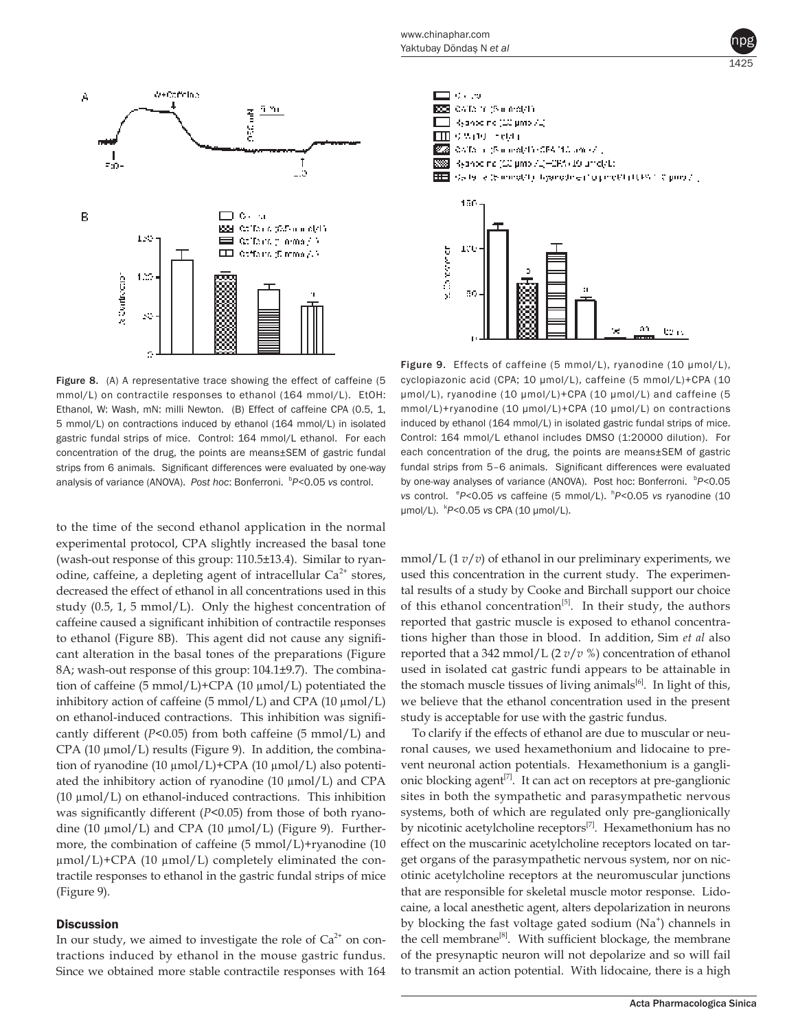



Figure 8. (A) A representative trace showing the effect of caffeine (5 mmol/L) on contractile responses to ethanol (164 mmol/L). EtOH: Ethanol, W: Wash, mN: milli Newton. (B) Effect of caffeine CPA (0.5, 1, 5 mmol/L) on contractions induced by ethanol (164 mmol/L) in isolated gastric fundal strips of mice. Control: 164 mmol/L ethanol. For each concentration of the drug, the points are means±SEM of gastric fundal strips from 6 animals. Significant differences were evaluated by one-way analysis of variance (ANOVA). Post hoc: Bonferroni. <sup>b</sup>P<0.05 vs control.

to the time of the second ethanol application in the normal experimental protocol, CPA slightly increased the basal tone (wash-out response of this group: 110.5±13.4). Similar to ryanodine, caffeine, a depleting agent of intracellular  $Ca<sup>2+</sup>$  stores, decreased the effect of ethanol in all concentrations used in this study (0.5, 1, 5 mmol/L). Only the highest concentration of caffeine caused a significant inhibition of contractile responses to ethanol (Figure 8B). This agent did not cause any significant alteration in the basal tones of the preparations (Figure 8A; wash-out response of this group: 104.1±9.7). The combination of caffeine (5 mmol/L)+CPA (10 µmol/L) potentiated the inhibitory action of caffeine (5 mmol/L) and CPA (10  $\mu$ mol/L) on ethanol-induced contractions. This inhibition was significantly different (*P<*0.05) from both caffeine (5 mmol/L) and CPA (10  $\mu$ mol/L) results (Figure 9). In addition, the combination of ryanodine (10 μmol/L)+CPA (10 μmol/L) also potentiated the inhibitory action of ryanodine  $(10 \mu \text{mol/L})$  and CPA (10  $\mu$ mol/L) on ethanol-induced contractions. This inhibition was significantly different (*P*<0.05) from those of both ryanodine (10  $\mu$ mol/L) and CPA (10  $\mu$ mol/L) (Figure 9). Furthermore, the combination of caffeine (5 mmol/L)+ryanodine (10  $\mu$ mol/L)+CPA (10  $\mu$ mol/L) completely eliminated the contractile responses to ethanol in the gastric fundal strips of mice (Figure 9).

#### **Discussion**

In our study, we aimed to investigate the role of  $Ca<sup>2+</sup>$  on contractions induced by ethanol in the mouse gastric fundus. Since we obtained more stable contractile responses with 164



Figure 9. Effects of caffeine (5 mmol/L), ryanodine (10 µmol/L), cyclopiazonic acid (CPA; 10 µmol/L), caffeine (5 mmol/L)+CPA (10 µmol/L), ryanodine (10 µmol/L)+CPA (10 µmol/L) and caffeine (5 mmol/L)+ryanodine (10 µmol/L)+CPA (10 µmol/L) on contractions induced by ethanol (164 mmol/L) in isolated gastric fundal strips of mice. Control: 164 mmol/L ethanol includes DMSO (1:20000 dilution). For each concentration of the drug, the points are means±SEM of gastric fundal strips from 5–6 animals. Significant differences were evaluated by one-way analyses of variance (ANOVA). Post hoc: Bonferroni. <sup>b</sup>P<0.05 *vs* control. <sup>e</sup>P<0.05 *vs* caffeine (5 mmol/L). <sup>h</sup>P<0.05 *vs* ryanodine (10 µmol/L). <sup>k</sup> *P<*0.05 *vs* CPA (10 µmol/L).

mmol/L (1 *v*/*v*) of ethanol in our preliminary experiments, we used this concentration in the current study. The experimental results of a study by Cooke and Birchall support our choice of this ethanol concentration<sup>[5]</sup>. In their study, the authors reported that gastric muscle is exposed to ethanol concentrations higher than those in blood. In addition, Sim *et al* also reported that a 342 mmol/L (2 *v*/*v* %) concentration of ethanol used in isolated cat gastric fundi appears to be attainable in the stomach muscle tissues of living animals<sup>[6]</sup>. In light of this, we believe that the ethanol concentration used in the present study is acceptable for use with the gastric fundus.

To clarify if the effects of ethanol are due to muscular or neuronal causes, we used hexamethonium and lidocaine to prevent neuronal action potentials. Hexamethonium is a ganglionic blocking agent<sup>[7]</sup>. It can act on receptors at pre-ganglionic sites in both the sympathetic and parasympathetic nervous systems, both of which are regulated only pre-ganglionically by nicotinic acetylcholine receptors<sup>[7]</sup>. Hexamethonium has no effect on the muscarinic acetylcholine receptors located on target organs of the parasympathetic nervous system, nor on nicotinic acetylcholine receptors at the neuromuscular junctions that are responsible for skeletal muscle motor response. Lidocaine, a local anesthetic agent, alters depolarization in neurons by blocking the fast voltage gated sodium (Na<sup>+</sup>) channels in the cell membrane<sup>[8]</sup>. With sufficient blockage, the membrane of the presynaptic neuron will not depolarize and so will fail to transmit an action potential. With lidocaine, there is a high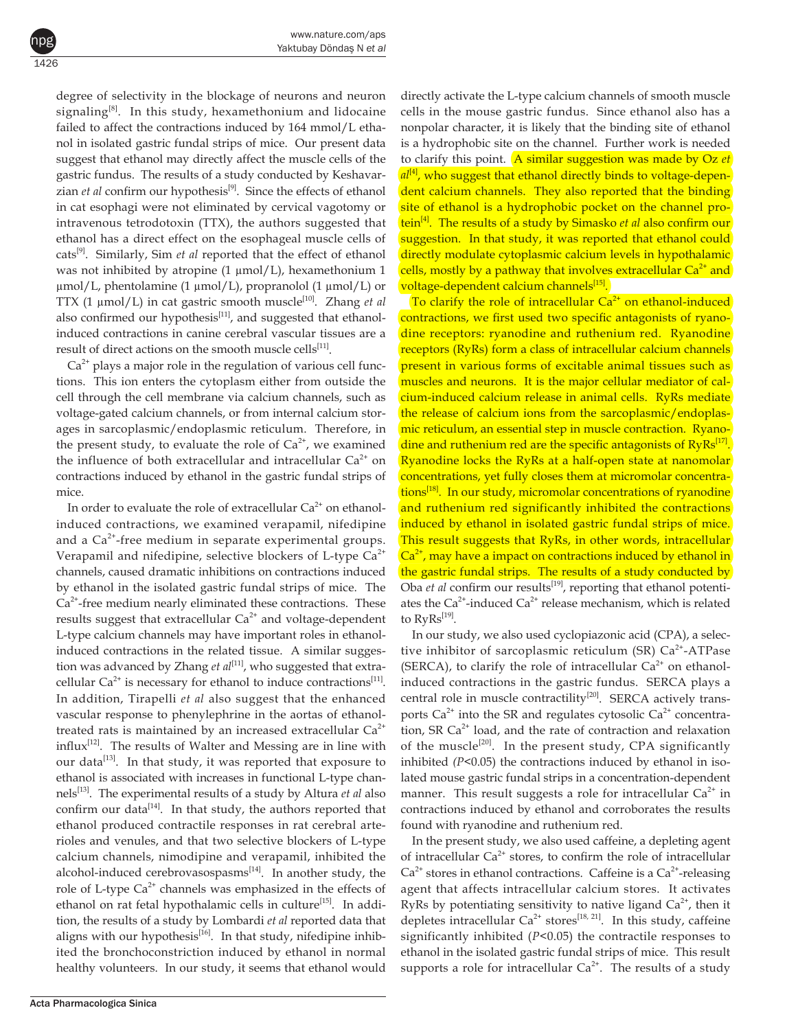degree of selectivity in the blockage of neurons and neuron signaling $[8]$ . In this study, hexamethonium and lidocaine failed to affect the contractions induced by 164 mmol/L ethanol in isolated gastric fundal strips of mice. Our present data suggest that ethanol may directly affect the muscle cells of the gastric fundus. The results of a study conducted by Keshavarzian *et al* confirm our hypothesis<sup>[9]</sup>. Since the effects of ethanol in cat esophagi were not eliminated by cervical vagotomy or intravenous tetrodotoxin (TTX), the authors suggested that ethanol has a direct effect on the esophageal muscle cells of cats[9]. Similarly, Sim *et al* reported that the effect of ethanol was not inhibited by atropine (1 μmol/L), hexamethonium 1 µmol/L, phentolamine (1 µmol/L), propranolol (1 µmol/L) or TTX (1 µmol/L) in cat gastric smooth muscle[10]. Zhang *et al* also confirmed our hypothesis<sup>[11]</sup>, and suggested that ethanolinduced contractions in canine cerebral vascular tissues are a result of direct actions on the smooth muscle cells<sup>[11]</sup>.

1426

npg

 $Ca<sup>2+</sup>$  plays a major role in the regulation of various cell functions. This ion enters the cytoplasm either from outside the cell through the cell membrane via calcium channels, such as voltage-gated calcium channels, or from internal calcium storages in sarcoplasmic/endoplasmic reticulum. Therefore, in the present study, to evaluate the role of  $Ca^{2+}$ , we examined the influence of both extracellular and intracellular  $Ca^{2+}$  on contractions induced by ethanol in the gastric fundal strips of mice.

In order to evaluate the role of extracellular  $Ca<sup>2+</sup>$  on ethanolinduced contractions, we examined verapamil, nifedipine and a  $Ca<sup>2+</sup>$ -free medium in separate experimental groups. Verapamil and nifedipine, selective blockers of L-type  $Ca<sup>2+</sup>$ channels, caused dramatic inhibitions on contractions induced by ethanol in the isolated gastric fundal strips of mice. The  $Ca<sup>2+</sup>$ -free medium nearly eliminated these contractions. These results suggest that extracellular  $Ca^{2+}$  and voltage-dependent L-type calcium channels may have important roles in ethanolinduced contractions in the related tissue. A similar suggestion was advanced by Zhang *et al*<sup>[11]</sup>, who suggested that extracellular  $Ca^{2+}$  is necessary for ethanol to induce contractions<sup>[11]</sup>. In addition, Tirapelli *et al* also suggest that the enhanced vascular response to phenylephrine in the aortas of ethanoltreated rats is maintained by an increased extracellular  $Ca^{2+}$ influx[12]. The results of Walter and Messing are in line with our data<sup>[13]</sup>. In that study, it was reported that exposure to ethanol is associated with increases in functional L-type channels[13]. The experimental results of a study by Altura *et al* also confirm our data $^{[14]}$ . In that study, the authors reported that ethanol produced contractile responses in rat cerebral arterioles and venules, and that two selective blockers of L-type calcium channels, nimodipine and verapamil, inhibited the alcohol-induced cerebrovasospasms $[14]$ . In another study, the role of L-type  $Ca^{2+}$  channels was emphasized in the effects of ethanol on rat fetal hypothalamic cells in culture<sup>[15]</sup>. In addition, the results of a study by Lombardi *et al* reported data that aligns with our hypothesis<sup>[16]</sup>. In that study, nifedipine inhibited the bronchoconstriction induced by ethanol in normal healthy volunteers. In our study, it seems that ethanol would

directly activate the L-type calcium channels of smooth muscle cells in the mouse gastric fundus. Since ethanol also has a nonpolar character, it is likely that the binding site of ethanol is a hydrophobic site on the channel. Further work is needed to clarify this point. A similar suggestion was made by Oz *et*   $a^{[4]}$ , who suggest that ethanol directly binds to voltage-dependent calcium channels. They also reported that the binding site of ethanol is a hydrophobic pocket on the channel protein[4]. The results of a study by Simasko *et al* also confirm our suggestion. In that study, it was reported that ethanol could directly modulate cytoplasmic calcium levels in hypothalamic cells, mostly by a pathway that involves extracellular  $Ca<sup>2+</sup>$  and <mark>voltage-dependent calcium channels<sup>[15]</sup>.</mark>

To clarify the role of intracellular  $Ca<sup>2+</sup>$  on ethanol-induced contractions, we first used two specific antagonists of ryanodine receptors: ryanodine and ruthenium red. Ryanodine receptors (RyRs) form a class of intracellular calcium channels present in various forms of excitable animal tissues such as muscles and neurons. It is the major cellular mediator of calcium-induced calcium release in animal cells. RyRs mediate the release of calcium ions from the sarcoplasmic/endoplasmic reticulum, an essential step in muscle contraction. Ryanodine and ruthenium red are the specific antagonists of  $RyRs<sup>[17]</sup>$ . Ryanodine locks the RyRs at a half-open state at nanomolar concentrations, yet fully closes them at micromolar concentrations<sup>[18]</sup>. In our study, micromolar concentrations of ryanodine and ruthenium red significantly inhibited the contractions induced by ethanol in isolated gastric fundal strips of mice. This result suggests that RyRs, in other words, intracellular  $Ca<sup>2+</sup>$ , may have a impact on contractions induced by ethanol in the gastric fundal strips. The results of a study conducted by Oba *et al* confirm our results<sup>[19]</sup>, reporting that ethanol potentiates the  $Ca^{2+}$ -induced  $Ca^{2+}$  release mechanism, which is related to  $RyRs^{[19]}.$ 

In our study, we also used cyclopiazonic acid (CPA), a selective inhibitor of sarcoplasmic reticulum (SR)  $Ca<sup>2+</sup>-ATPase$ (SERCA), to clarify the role of intracellular  $Ca^{2+}$  on ethanolinduced contractions in the gastric fundus. SERCA plays a central role in muscle contractility<sup>[20]</sup>. SERCA actively transports  $Ca^{2+}$  into the SR and regulates cytosolic  $Ca^{2+}$  concentration, SR  $Ca^{2+}$  load, and the rate of contraction and relaxation of the muscle<sup>[20]</sup>. In the present study, CPA significantly inhibited *(P<*0.05) the contractions induced by ethanol in isolated mouse gastric fundal strips in a concentration-dependent manner. This result suggests a role for intracellular  $Ca^{2+}$  in contractions induced by ethanol and corroborates the results found with ryanodine and ruthenium red.

In the present study, we also used caffeine, a depleting agent of intracellular  $Ca^{2+}$  stores, to confirm the role of intracellular  $Ca<sup>2+</sup>$  stores in ethanol contractions. Caffeine is a  $Ca<sup>2+</sup>$ -releasing agent that affects intracellular calcium stores. It activates RyRs by potentiating sensitivity to native ligand  $Ca^{2+}$ , then it depletes intracellular  $Ca^{2+}$  stores<sup>[18, 21]</sup>. In this study, caffeine significantly inhibited (*P<*0.05) the contractile responses to ethanol in the isolated gastric fundal strips of mice. This result supports a role for intracellular  $Ca^{2+}$ . The results of a study